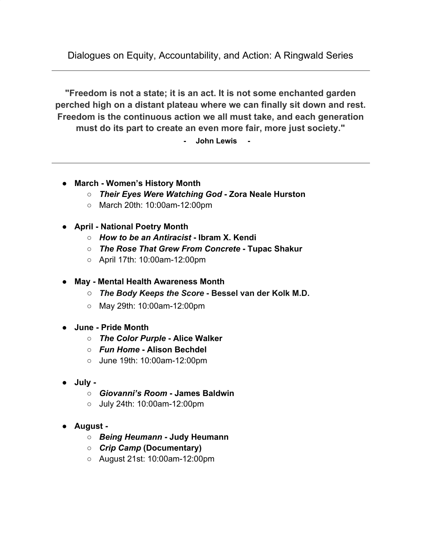Dialogues on Equity, Accountability, and Action: A Ringwald Series

**"Freedom is not a state; it is an act. It is not some enchanted garden perched high on a distant plateau where we can finally sit down and rest. Freedom is the continuous action we all must take, and each generation must do its part to create an even more fair, more just society."**

**- John Lewis -**

- **● March Women's History Month**
	- *Their Eyes Were Watching God* **Zora Neale Hurston**
	- March 20th: 10:00am-12:00pm
- **● April National Poetry Month**
	- *How to be an Antiracist*  **Ibram X. Kendi**
	- **○** *The Rose That Grew From Concrete* **Tupac Shakur**
	- April 17th: 10:00am-12:00pm
- **● May Mental Health Awareness Month**
	- **○** *The Body Keeps the Score* **Bessel van der Kolk M.D.**
	- May 29th: 10:00am-12:00pm
- **● June Pride Month**
	- **○** *The Color Purple* **Alice Walker**
	- *Fun Home* **Alison Bechdel**
	- June 19th: 10:00am-12:00pm
- **● July -**
	- **○** *Giovanni's Room* **James Baldwin**
	- July 24th: 10:00am-12:00pm
- **● August -**
	- *Being Heumann*  **Judy Heumann**
	- *○ Crip Camp* **(Documentary)**
	- August 21st: 10:00am-12:00pm